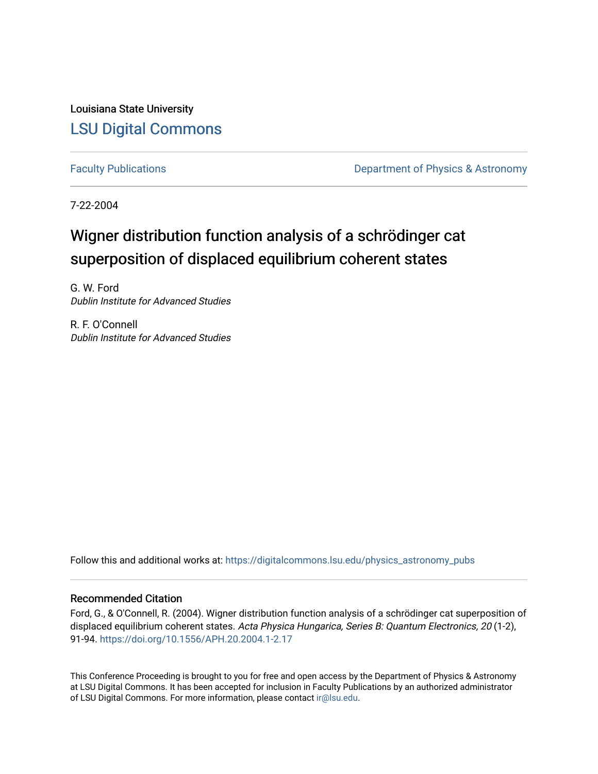Louisiana State University [LSU Digital Commons](https://digitalcommons.lsu.edu/)

[Faculty Publications](https://digitalcommons.lsu.edu/physics_astronomy_pubs) **Exercise 2 and Table 2 and Table 2 and Table 2 and Table 2 and Table 2 and Table 2 and Table 2 and Table 2 and Table 2 and Table 2 and Table 2 and Table 2 and Table 2 and Table 2 and Table 2 and Table** 

7-22-2004

# Wigner distribution function analysis of a schrödinger cat superposition of displaced equilibrium coherent states

G. W. Ford Dublin Institute for Advanced Studies

R. F. O'Connell Dublin Institute for Advanced Studies

Follow this and additional works at: [https://digitalcommons.lsu.edu/physics\\_astronomy\\_pubs](https://digitalcommons.lsu.edu/physics_astronomy_pubs?utm_source=digitalcommons.lsu.edu%2Fphysics_astronomy_pubs%2F3895&utm_medium=PDF&utm_campaign=PDFCoverPages) 

### Recommended Citation

Ford, G., & O'Connell, R. (2004). Wigner distribution function analysis of a schrödinger cat superposition of displaced equilibrium coherent states. Acta Physica Hungarica, Series B: Quantum Electronics, 20 (1-2), 91-94.<https://doi.org/10.1556/APH.20.2004.1-2.17>

This Conference Proceeding is brought to you for free and open access by the Department of Physics & Astronomy at LSU Digital Commons. It has been accepted for inclusion in Faculty Publications by an authorized administrator of LSU Digital Commons. For more information, please contact [ir@lsu.edu](mailto:ir@lsu.edu).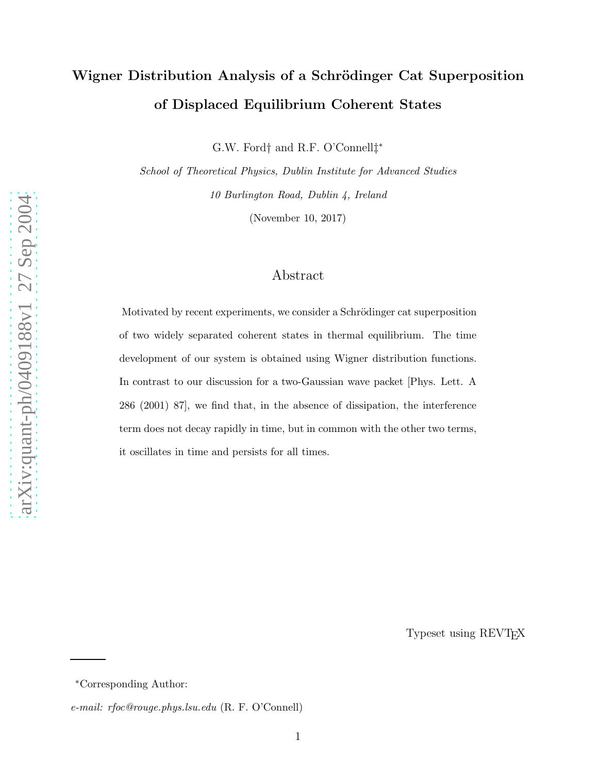# Wigner Distribution Analysis of a Schrödinger Cat Superposition of Displaced Equilibrium Coherent States

G.W. Ford † and R.F. O'Connell ‡ ∗

*School of Theoretical Physics, Dublin Institute for Advanced Studies 10 Burlington Road, Dublin 4, Ireland*

(November 10, 2017)

### Abstract

Motivated by recent experiments, we consider a Schrödinger cat superposition of two widely separated coherent states in thermal equilibrium. The time development of our system is obtained using Wigner distribution functions. In contrast to our discussion for a two-Gaussian wave packet [Phys. Lett. A 286 (2001) 87], we find that, in the absence of dissipation, the interference term does not decay rapidly in time, but in common with the other two terms, it oscillates in time and persists for all times.

Typeset using REVTEX

<sup>∗</sup>Corresponding Author:

*e-mail: rfoc@rouge.phys.lsu.edu* (R. F. O'Connell)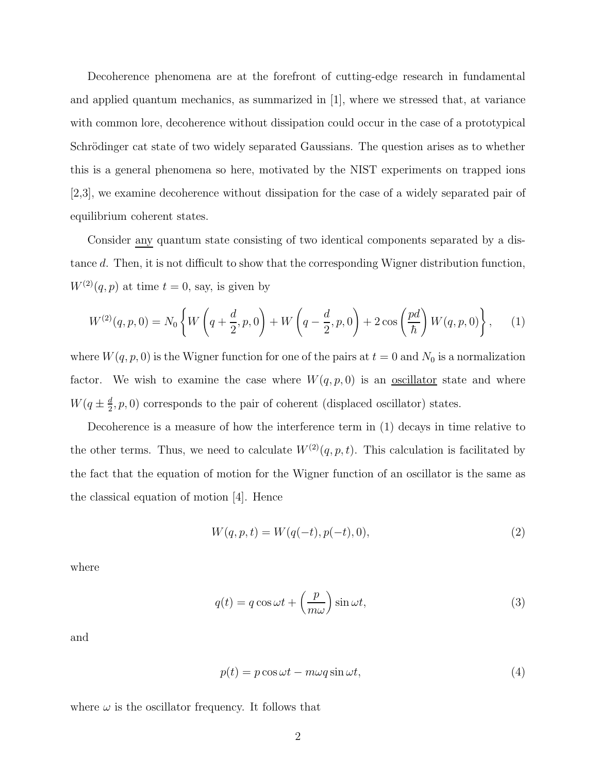Decoherence phenomena are at the forefront of cutting-edge research in fundamental and applied quantum mechanics, as summarized in  $|1|$ , where we stressed that, at variance with common lore, decoherence without dissipation could occur in the case of a prototypical Schrödinger cat state of two widely separated Gaussians. The question arises as to whether this is a general phenomena so here, motivated by the NIST experiments on trapped ions [2,3], we examine decoherence without dissipation for the case of a widely separated pair of equilibrium coherent states.

Consider any quantum state consisting of two identical components separated by a distance d. Then, it is not difficult to show that the corresponding Wigner distribution function,  $W^{(2)}(q, p)$  at time  $t = 0$ , say, is given by

$$
W^{(2)}(q,p,0) = N_0 \left\{ W\left(q + \frac{d}{2},p,0\right) + W\left(q - \frac{d}{2},p,0\right) + 2\cos\left(\frac{pd}{\hbar}\right) W(q,p,0) \right\},\tag{1}
$$

where  $W(q, p, 0)$  is the Wigner function for one of the pairs at  $t = 0$  and  $N_0$  is a normalization factor. We wish to examine the case where  $W(q, p, 0)$  is an <u>oscillator</u> state and where  $W(q \pm \frac{d}{2})$  $\frac{d}{2}$ , p, 0) corresponds to the pair of coherent (displaced oscillator) states.

Decoherence is a measure of how the interference term in (1) decays in time relative to the other terms. Thus, we need to calculate  $W^{(2)}(q, p, t)$ . This calculation is facilitated by the fact that the equation of motion for the Wigner function of an oscillator is the same as the classical equation of motion [4]. Hence

$$
W(q, p, t) = W(q(-t), p(-t), 0),
$$
\n(2)

where

$$
q(t) = q \cos \omega t + \left(\frac{p}{m\omega}\right) \sin \omega t, \tag{3}
$$

and

$$
p(t) = p\cos\omega t - m\omega q\sin\omega t,\tag{4}
$$

where  $\omega$  is the oscillator frequency. It follows that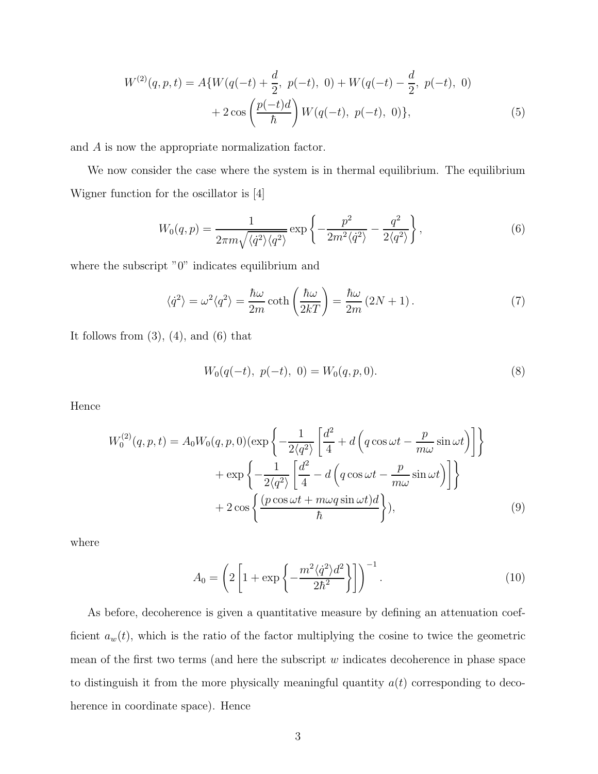$$
W^{(2)}(q, p, t) = A\{W(q(-t) + \frac{d}{2}, p(-t), 0) + W(q(-t) - \frac{d}{2}, p(-t), 0) + 2\cos\left(\frac{p(-t)d}{\hbar}\right)W(q(-t), p(-t), 0)\},
$$
\n(5)

and A is now the appropriate normalization factor.

We now consider the case where the system is in thermal equilibrium. The equilibrium Wigner function for the oscillator is [4]

$$
W_0(q,p) = \frac{1}{2\pi m \sqrt{\langle \dot{q}^2 \rangle \langle q^2 \rangle}} \exp\left\{-\frac{p^2}{2m^2 \langle \dot{q}^2 \rangle} - \frac{q^2}{2\langle q^2 \rangle}\right\},\tag{6}
$$

where the subscript "0" indicates equilibrium and

$$
\langle \dot{q}^2 \rangle = \omega^2 \langle q^2 \rangle = \frac{\hbar \omega}{2m} \coth\left(\frac{\hbar \omega}{2kT}\right) = \frac{\hbar \omega}{2m} (2N + 1). \tag{7}
$$

It follows from  $(3)$ ,  $(4)$ , and  $(6)$  that

$$
W_0(q(-t), p(-t), 0) = W_0(q, p, 0).
$$
\n(8)

Hence

$$
W_0^{(2)}(q, p, t) = A_0 W_0(q, p, 0) \left(\exp\left\{-\frac{1}{2\langle q^2\rangle} \left[\frac{d^2}{4} + d\left(q\cos\omega t - \frac{p}{m\omega}\sin\omega t\right)\right]\right\}
$$

$$
+ \exp\left\{-\frac{1}{2\langle q^2\rangle} \left[\frac{d^2}{4} - d\left(q\cos\omega t - \frac{p}{m\omega}\sin\omega t\right)\right]\right\}
$$

$$
+ 2\cos\left\{\frac{(p\cos\omega t + m\omega q\sin\omega t)d}{\hbar}\right\}, \tag{9}
$$

where

$$
A_0 = \left(2\left[1 + \exp\left\{-\frac{m^2\langle \dot{q}^2 \rangle d^2}{2\hbar^2}\right\}\right]\right)^{-1}.\tag{10}
$$

As before, decoherence is given a quantitative measure by defining an attenuation coefficient  $a_w(t)$ , which is the ratio of the factor multiplying the cosine to twice the geometric mean of the first two terms (and here the subscript  $w$  indicates decoherence in phase space to distinguish it from the more physically meaningful quantity  $a(t)$  corresponding to decoherence in coordinate space). Hence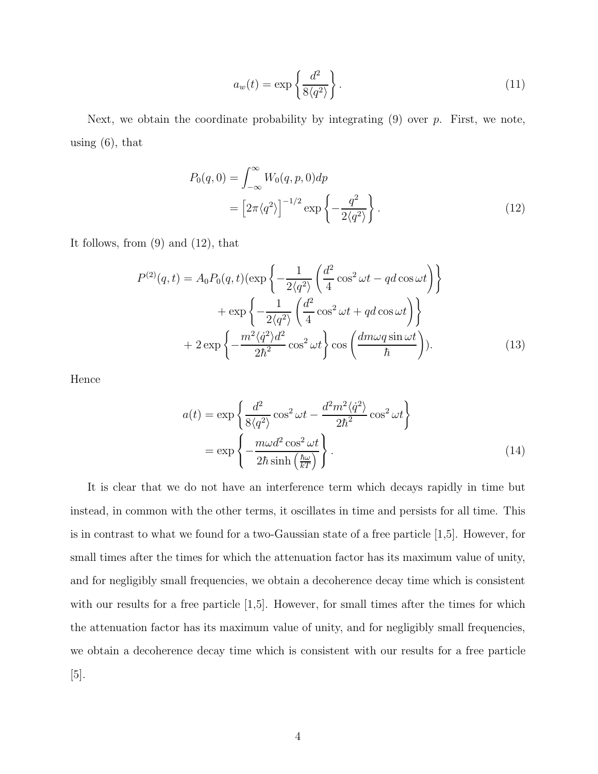$$
a_w(t) = \exp\left\{\frac{d^2}{8\langle q^2 \rangle}\right\}.
$$
\n(11)

Next, we obtain the coordinate probability by integrating  $(9)$  over p. First, we note, using  $(6)$ , that

$$
P_0(q,0) = \int_{-\infty}^{\infty} W_0(q,p,0) dp
$$
  
= 
$$
\left[2\pi \langle q^2 \rangle\right]^{-1/2} \exp\left\{-\frac{q^2}{2\langle q^2 \rangle}\right\}.
$$
 (12)

It follows, from (9) and (12), that

$$
P^{(2)}(q,t) = A_0 P_0(q,t) \left(\exp\left\{-\frac{1}{2\langle q^2 \rangle} \left(\frac{d^2}{4}\cos^2 \omega t - qd\cos \omega t\right)\right\} + \exp\left\{-\frac{1}{2\langle q^2 \rangle} \left(\frac{d^2}{4}\cos^2 \omega t + qd\cos \omega t\right)\right\} + 2\exp\left\{-\frac{m^2\langle \dot{q}^2 \rangle d^2}{2\hbar^2}\cos^2 \omega t\right\} \cos\left(\frac{dm\omega q \sin \omega t}{\hbar}\right).
$$
\n(13)

Hence

$$
a(t) = \exp\left\{\frac{d^2}{8\langle q^2 \rangle} \cos^2 \omega t - \frac{d^2 m^2 \langle \dot{q}^2 \rangle}{2\hbar^2} \cos^2 \omega t \right\}
$$

$$
= \exp\left\{-\frac{m\omega d^2 \cos^2 \omega t}{2\hbar \sinh\left(\frac{\hbar \omega}{kT}\right)}\right\}.
$$
(14)

It is clear that we do not have an interference term which decays rapidly in time but instead, in common with the other terms, it oscillates in time and persists for all time. This is in contrast to what we found for a two-Gaussian state of a free particle [1,5]. However, for small times after the times for which the attenuation factor has its maximum value of unity, and for negligibly small frequencies, we obtain a decoherence decay time which is consistent with our results for a free particle [1,5]. However, for small times after the times for which the attenuation factor has its maximum value of unity, and for negligibly small frequencies, we obtain a decoherence decay time which is consistent with our results for a free particle [5].